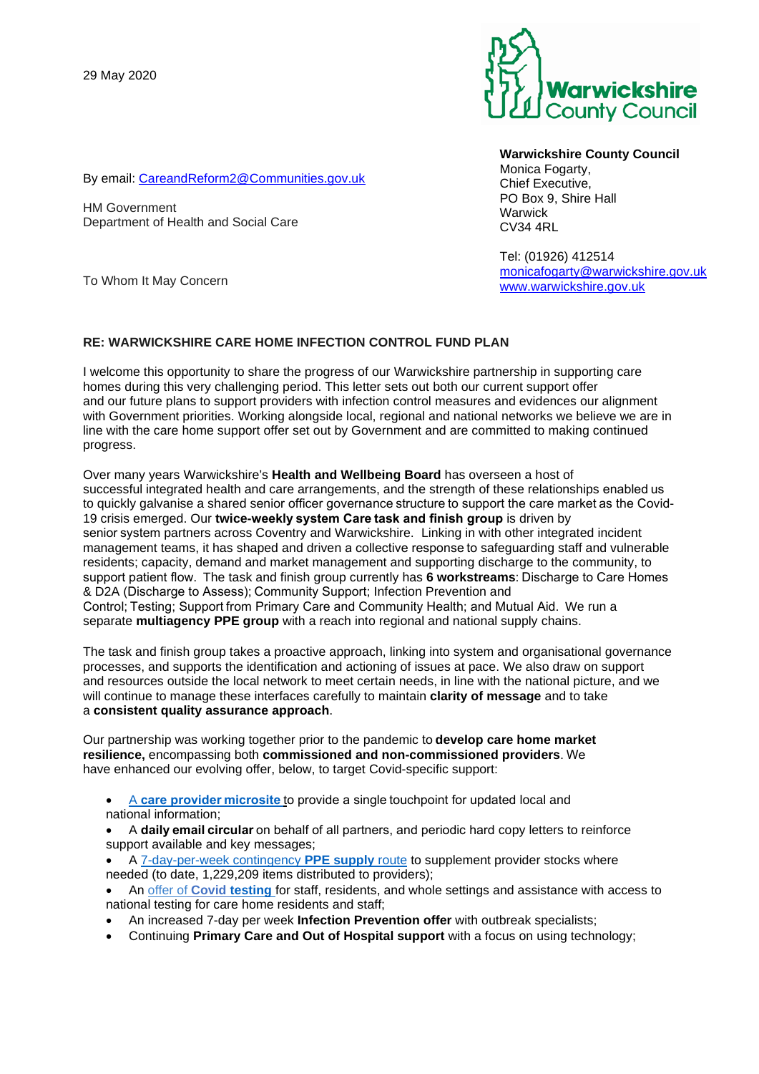HM Government



**Warwickshire County Council** Monica Fogarty, Chief Executive, PO Box 9, Shire Hall **Warwick** CV34 4RL

Tel: (01926) 412514 [monicafogarty@warwickshire.gov.uk](mailto:monicafogarty@warwickshire.gov.uk) [www.warwickshire.gov.uk](http://www.warwickshire.gov.uk/)

To Whom It May Concern

By email: [CareandReform2@Communities.gov.uk](mailto:CareandReform2@Communities.gov.uk)

Department of Health and Social Care

## **RE: WARWICKSHIRE CARE HOME INFECTION CONTROL FUND PLAN**

I welcome this opportunity to share the progress of our Warwickshire partnership in supporting care homes during this very challenging period. This letter sets out both our current support offer and our future plans to support providers with infection control measures and evidences our alignment with Government priorities. Working alongside local, regional and national networks we believe we are in line with the care home support offer set out by Government and are committed to making continued progress.

Over many years Warwickshire's **Health and Wellbeing Board** has overseen a host of successful integrated health and care arrangements, and the strength of these relationships enabled us to quickly galvanise a shared senior officer governance structure to support the care market as the Covid-19 crisis emerged. Our **twice-weekly system Care task and finish group** is driven by senior system partners across Coventry and Warwickshire. Linking in with other integrated incident management teams, it has shaped and driven a collective response to safeguarding staff and vulnerable residents; capacity, demand and market management and supporting discharge to the community, to support patient flow.  The task and finish group currently has **6 workstreams**: Discharge to Care Homes & D2A (Discharge to Assess); Community Support; Infection Prevention and Control; Testing; Support from Primary Care and Community Health; and Mutual Aid.  We run a separate **multiagency PPE group** with a reach into regional and national supply chains.

The task and finish group takes a proactive approach, linking into system and organisational governance processes, and supports the identification and actioning of issues at pace. We also draw on support and resources outside the local network to meet certain needs, in line with the national picture, and we will continue to manage these interfaces carefully to maintain **clarity of message** and to take a **consistent quality assurance approach**.

Our partnership was working together prior to the pandemic to **develop care home market resilience,** encompassing both **commissioned and non-commissioned providers**. We have enhanced our evolving offer, below, to target Covid-specific support:

- A **[care provider microsite](https://www.warwickshire.gov.uk/information-coronavirus/covid-19-national-local-guidance-care-providers/1)** to provide a single touchpoint for updated local and national information;
- A **daily email circular** on behalf of all partners, and periodic hard copy letters to reinforce support available and key messages;
- A [7-day-per-week](https://www.warwickshire.gov.uk/coronavirusppe) contingency **PPE supply** route to supplement provider stocks where needed (to date, 1,229,209 items distributed to providers);
- An offer of **Covid [testing](https://www.warwickshire.gov.uk/information-coronavirus/covid-19-national-local-guidance-care-providers/1)** for staff, residents, and whole settings and assistance with access to national testing for care home residents and staff;
- An increased 7-day per week **Infection Prevention offer** with outbreak specialists;
- Continuing **Primary Care and Out of Hospital support** with a focus on using technology;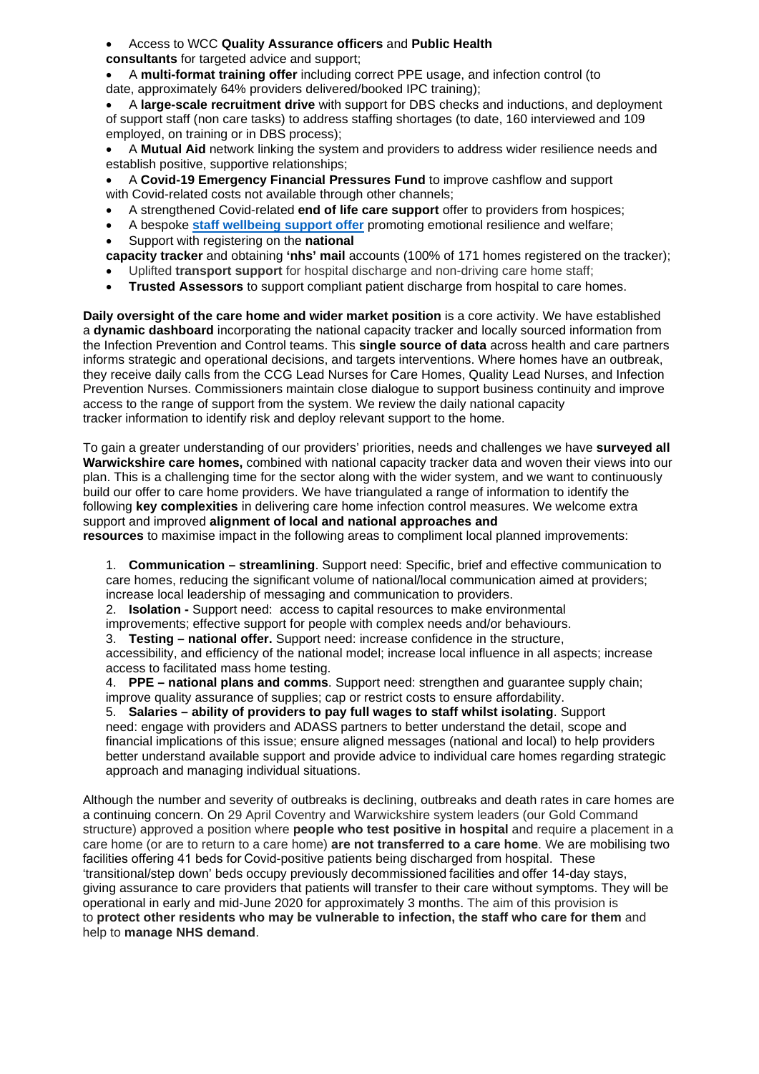- Access to WCC **Quality Assurance officers** and **Public Health**
- **consultants** for targeted advice and support;
- A **multi-format training offer** including correct PPE usage, and infection control (to date, approximately 64% providers delivered/booked IPC training);

• A **large-scale recruitment drive** with support for DBS checks and inductions, and deployment of support staff (non care tasks) to address staffing shortages (to date, 160 interviewed and 109 employed, on training or in DBS process);

• A **Mutual Aid** network linking the system and providers to address wider resilience needs and establish positive, supportive relationships;

• A **Covid-19 Emergency Financial Pressures Fund** to improve cashflow and support with Covid-related costs not available through other channels;

- A strengthened Covid-related **end of life care support** offer to providers from hospices;
- A bespoke **[staff wellbeing support offer](https://www.warwickshire.gov.uk/information-coronavirus/covid-19-national-local-guidance-care-providers/1)** promoting emotional resilience and welfare;
- Support with registering on the **national**

**capacity tracker** and obtaining **'nhs' mail** accounts (100% of 171 homes registered on the tracker);

- Uplifted **transport support** for hospital discharge and non-driving care home staff;
- **Trusted Assessors** to support compliant patient discharge from hospital to care homes.

**Daily oversight of the care home and wider market position** is a core activity. We have established a **dynamic dashboard** incorporating the national capacity tracker and locally sourced information from the Infection Prevention and Control teams. This **single source of data** across health and care partners informs strategic and operational decisions, and targets interventions. Where homes have an outbreak, they receive daily calls from the CCG Lead Nurses for Care Homes, Quality Lead Nurses, and Infection Prevention Nurses. Commissioners maintain close dialogue to support business continuity and improve access to the range of support from the system. We review the daily national capacity tracker information to identify risk and deploy relevant support to the home.

To gain a greater understanding of our providers' priorities, needs and challenges we have **surveyed all Warwickshire care homes,** combined with national capacity tracker data and woven their views into our plan. This is a challenging time for the sector along with the wider system, and we want to continuously build our offer to care home providers. We have triangulated a range of information to identify the following **key complexities** in delivering care home infection control measures. We welcome extra support and improved **alignment of local and national approaches and resources** to maximise impact in the following areas to compliment local planned improvements:

1. **Communication – streamlining**. Support need: Specific, brief and effective communication to care homes, reducing the significant volume of national/local communication aimed at providers; increase local leadership of messaging and communication to providers.

2. **Isolation -** Support need: access to capital resources to make environmental

improvements; effective support for people with complex needs and/or behaviours.

3. **Testing – national offer.** Support need: increase confidence in the structure,

accessibility, and efficiency of the national model; increase local influence in all aspects; increase access to facilitated mass home testing.

4. **PPE – national plans and comms**. Support need: strengthen and guarantee supply chain; improve quality assurance of supplies; cap or restrict costs to ensure affordability.

5. **Salaries – ability of providers to pay full wages to staff whilst isolating**. Support need: engage with providers and ADASS partners to better understand the detail, scope and financial implications of this issue; ensure aligned messages (national and local) to help providers better understand available support and provide advice to individual care homes regarding strategic approach and managing individual situations.

Although the number and severity of outbreaks is declining, outbreaks and death rates in care homes are a continuing concern. On 29 April Coventry and Warwickshire system leaders (our Gold Command structure) approved a position where **people who test positive in hospital** and require a placement in a care home (or are to return to a care home) **are not transferred to a care home**. We are mobilising two facilities offering 41 beds for Covid-positive patients being discharged from hospital. These 'transitional/step down' beds occupy previously decommissioned facilities and offer 14-day stays, giving assurance to care providers that patients will transfer to their care without symptoms. They will be operational in early and mid-June 2020 for approximately 3 months. The aim of this provision is to **protect other residents who may be vulnerable to infection, the staff who care for them** and help to **manage NHS demand**.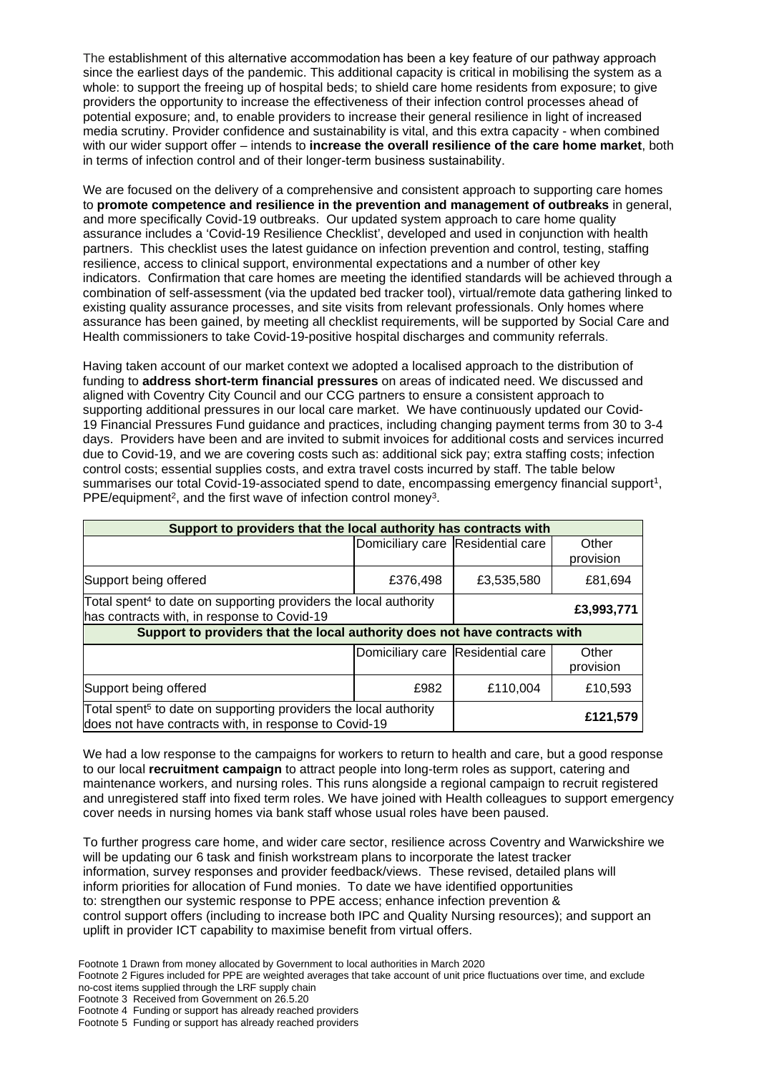The establishment of this alternative accommodation has been a key feature of our pathway approach since the earliest days of the pandemic. This additional capacity is critical in mobilising the system as a whole: to support the freeing up of hospital beds; to shield care home residents from exposure; to give providers the opportunity to increase the effectiveness of their infection control processes ahead of potential exposure; and, to enable providers to increase their general resilience in light of increased media scrutiny. Provider confidence and sustainability is vital, and this extra capacity - when combined with our wider support offer – intends to **increase the overall resilience of the care home market**, both in terms of infection control and of their longer-term business sustainability. 

We are focused on the delivery of a comprehensive and consistent approach to supporting care homes to **promote competence and resilience in the prevention and management of outbreaks** in general, and more specifically Covid-19 outbreaks. Our updated system approach to care home quality assurance includes a 'Covid-19 Resilience Checklist', developed and used in conjunction with health partners. This checklist uses the latest guidance on infection prevention and control, testing, staffing resilience, access to clinical support, environmental expectations and a number of other key indicators. Confirmation that care homes are meeting the identified standards will be achieved through a combination of self-assessment (via the updated bed tracker tool), virtual/remote data gathering linked to existing quality assurance processes, and site visits from relevant professionals. Only homes where assurance has been gained, by meeting all checklist requirements, will be supported by Social Care and Health commissioners to take Covid-19-positive hospital discharges and community referrals.

Having taken account of our market context we adopted a localised approach to the distribution of funding to **address short-term financial pressures** on areas of indicated need. We discussed and aligned with Coventry City Council and our CCG partners to ensure a consistent approach to supporting additional pressures in our local care market. We have continuously updated our Covid-19 Financial Pressures Fund guidance and practices, including changing payment terms from 30 to 3-4 days. Providers have been and are invited to submit invoices for additional costs and services incurred due to Covid-19, and we are covering costs such as: additional sick pay; extra staffing costs; infection control costs; essential supplies costs, and extra travel costs incurred by staff. The table below summarises our total Covid-19-associated spend to date, encompassing emergency financial support<sup>1</sup>, PPE/equipment<sup>2</sup>, and the first wave of infection control money<sup>3</sup>.

| Support to providers that the local authority has contracts with                                                            |                                   |            |                    |
|-----------------------------------------------------------------------------------------------------------------------------|-----------------------------------|------------|--------------------|
|                                                                                                                             | Domiciliary care Residential care |            | Other<br>provision |
| Support being offered                                                                                                       | £376,498                          | £3,535,580 | £81,694            |
| Total spent <sup>4</sup> to date on supporting providers the local authority<br>has contracts with, in response to Covid-19 |                                   | £3,993,771 |                    |
| Support to providers that the local authority does not have contracts with                                                  |                                   |            |                    |
|                                                                                                                             |                                   |            |                    |
|                                                                                                                             | Domiciliary care Residential care |            | Other<br>provision |
| Support being offered                                                                                                       | £982                              | £110.004   | £10,593            |

We had a low response to the campaigns for workers to return to health and care, but a good response to our local **recruitment campaign** to attract people into long-term roles as support, catering and maintenance workers, and nursing roles. This runs alongside a regional campaign to recruit registered and unregistered staff into fixed term roles. We have joined with Health colleagues to support emergency cover needs in nursing homes via bank staff whose usual roles have been paused.

To further progress care home, and wider care sector, resilience across Coventry and Warwickshire we will be updating our 6 task and finish workstream plans to incorporate the latest tracker information, survey responses and provider feedback/views. These revised, detailed plans will inform priorities for allocation of Fund monies. To date we have identified opportunities to: strengthen our systemic response to PPE access; enhance infection prevention & control support offers (including to increase both IPC and Quality Nursing resources); and support an uplift in provider ICT capability to maximise benefit from virtual offers.

Footnote 2 Figures included for PPE are weighted averages that take account of unit price fluctuations over time, and exclude no-cost items supplied through the LRF supply chain

Footnote 3 Received from Government on 26.5.20

Footnote 4 Funding or support has already reached providers

Footnote 5 Funding or support has already reached providers

Footnote 1 Drawn from money allocated by Government to local authorities in March 2020